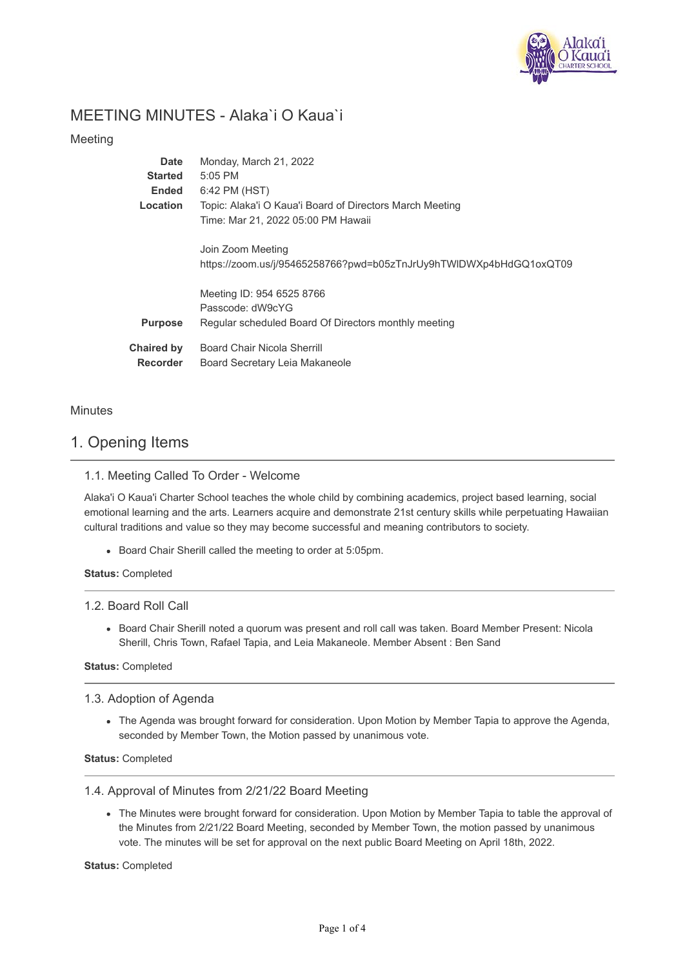

# MEETING MINUTES - Alaka`i O Kaua`i

## Meeting

| Date              | Monday, March 21, 2022                                             |
|-------------------|--------------------------------------------------------------------|
| <b>Started</b>    | $5:05$ PM                                                          |
| Ended             | 6:42 PM (HST)                                                      |
| <b>Location</b>   | Topic: Alaka'i O Kaua'i Board of Directors March Meeting           |
|                   | Time: Mar 21, 2022 05:00 PM Hawaii                                 |
|                   |                                                                    |
|                   | Join Zoom Meeting                                                  |
|                   | https://zoom.us/j/95465258766?pwd=b05zTnJrUy9hTWIDWXp4bHdGQ1oxQT09 |
|                   |                                                                    |
|                   | Meeting ID: 954 6525 8766                                          |
|                   | Passcode: dW9cYG                                                   |
| <b>Purpose</b>    | Regular scheduled Board Of Directors monthly meeting               |
|                   |                                                                    |
| <b>Chaired by</b> | Board Chair Nicola Sherrill                                        |
| <b>Recorder</b>   | Board Secretary Leia Makaneole                                     |
|                   |                                                                    |

## **Minutes**

## 1. Opening Items

## 1.1. Meeting Called To Order - Welcome

Alaka'i O Kaua'i Charter School teaches the whole child by combining academics, project based learning, social emotional learning and the arts. Learners acquire and demonstrate 21st century skills while perpetuating Hawaiian cultural traditions and value so they may become successful and meaning contributors to society.

Board Chair Sherill called the meeting to order at 5:05pm.

### **Status:** Completed

### 1.2. Board Roll Call

• Board Chair Sherill noted a quorum was present and roll call was taken. Board Member Present: Nicola Sherill, Chris Town, Rafael Tapia, and Leia Makaneole. Member Absent : Ben Sand

### **Status:** Completed

## 1.3. Adoption of Agenda

The Agenda was brought forward for consideration. Upon Motion by Member Tapia to approve the Agenda, seconded by Member Town, the Motion passed by unanimous vote.

### **Status:** Completed

### 1.4. Approval of Minutes from 2/21/22 Board Meeting

The Minutes were brought forward for consideration. Upon Motion by Member Tapia to table the approval of the Minutes from 2/21/22 Board Meeting, seconded by Member Town, the motion passed by unanimous vote. The minutes will be set for approval on the next public Board Meeting on April 18th, 2022.

### **Status:** Completed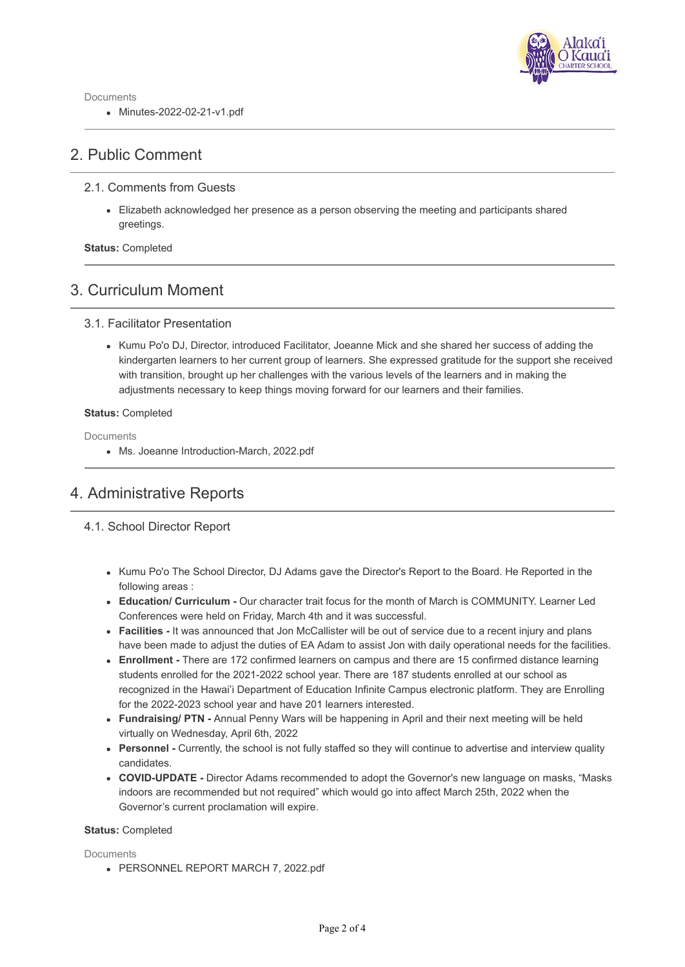

Documents

Minutes-2022-02-21-v1.pdf

## 2. Public Comment

## 2.1. Comments from Guests

Elizabeth acknowledged her presence as a person observing the meeting and participants shared greetings.

**Status:** Completed

## 3. Curriculum Moment

### 3.1. Facilitator Presentation

• Kumu Po'o DJ, Director, introduced Facilitator, Joeanne Mick and she shared her success of adding the kindergarten learners to her current group of learners. She expressed gratitude for the support she received with transition, brought up her challenges with the various levels of the learners and in making the adjustments necessary to keep things moving forward for our learners and their families.

### **Status:** Completed

Documents

Ms. Joeanne Introduction-March, 2022.pdf

# 4. Administrative Reports

## 4.1. School Director Report

- Kumu Po'o The School Director, DJ Adams gave the Director's Report to the Board. He Reported in the following areas :
- **Education/ Curriculum** Our character trait focus for the month of March is COMMUNITY. Learner Led Conferences were held on Friday, March 4th and it was successful.
- **Facilities** It was announced that Jon McCallister will be out of service due to a recent injury and plans have been made to adjust the duties of EA Adam to assist Jon with daily operational needs for the facilities.
- **Enrollment** There are 172 confirmed learners on campus and there are 15 confirmed distance learning students enrolled for the 2021-2022 school year. There are 187 students enrolled at our school as recognized in the Hawai'i Department of Education Infinite Campus electronic platform. They are Enrolling for the 2022-2023 school year and have 201 learners interested.
- **Fundraising/ PTN** Annual Penny Wars will be happening in April and their next meeting will be held virtually on Wednesday, April 6th, 2022
- **Personnel** Currently, the school is not fully staffed so they will continue to advertise and interview quality candidates.
- **COVID-UPDATE** Director Adams recommended to adopt the Governor's new language on masks, "Masks indoors are recommended but not required" which would go into affect March 25th, 2022 when the Governor's current proclamation will expire.

### **Status:** Completed

**Documents** 

PERSONNEL REPORT MARCH 7, 2022.pdf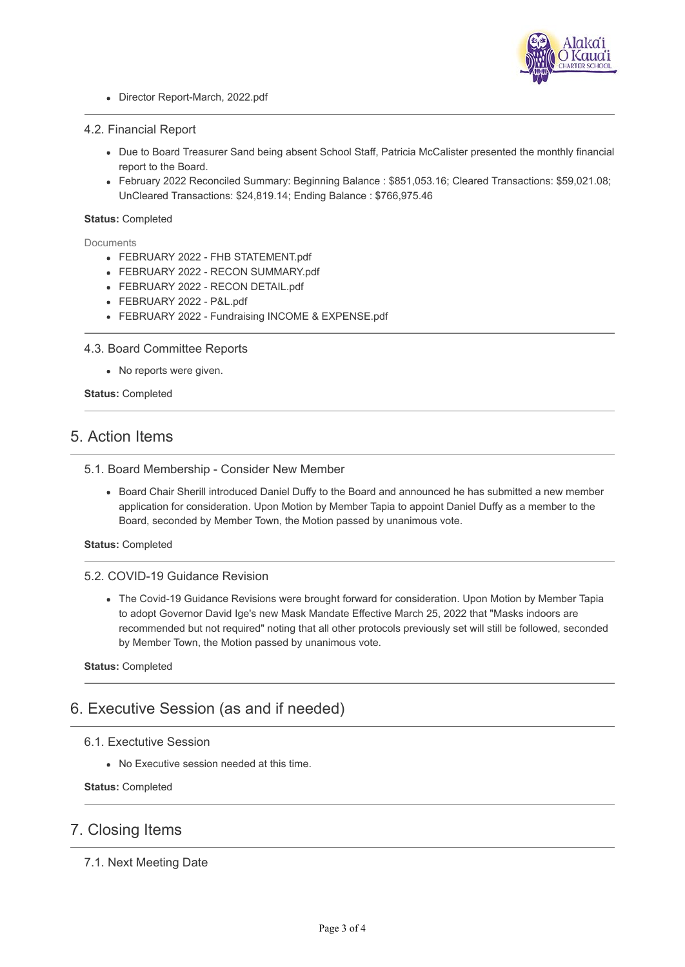

Director Report-March, 2022.pdf

#### 4.2. Financial Report

- Due to Board Treasurer Sand being absent School Staff, Patricia McCalister presented the monthly financial report to the Board.
- February 2022 Reconciled Summary: Beginning Balance : \$851,053.16; Cleared Transactions: \$59,021.08; UnCleared Transactions: \$24,819.14; Ending Balance : \$766,975.46

#### **Status:** Completed

**Documents** 

- FEBRUARY 2022 FHB STATEMENT.pdf
- FEBRUARY 2022 RECON SUMMARY.pdf
- FEBRUARY 2022 RECON DETAIL.pdf
- FEBRUARY 2022 P&L.pdf
- FEBRUARY 2022 Fundraising INCOME & EXPENSE.pdf

### 4.3. Board Committee Reports

No reports were given.

**Status:** Completed

## 5. Action Items

### 5.1. Board Membership - Consider New Member

Board Chair Sherill introduced Daniel Duffy to the Board and announced he has submitted a new member application for consideration. Upon Motion by Member Tapia to appoint Daniel Duffy as a member to the Board, seconded by Member Town, the Motion passed by unanimous vote.

**Status:** Completed

### 5.2. COVID-19 Guidance Revision

The Covid-19 Guidance Revisions were brought forward for consideration. Upon Motion by Member Tapia to adopt Governor David Ige's new Mask Mandate Effective March 25, 2022 that "Masks indoors are recommended but not required" noting that all other protocols previously set will still be followed, seconded by Member Town, the Motion passed by unanimous vote.

**Status:** Completed

## 6. Executive Session (as and if needed)

- 6.1. Exectutive Session
	- No Executive session needed at this time.

**Status:** Completed

## 7. Closing Items

7.1. Next Meeting Date